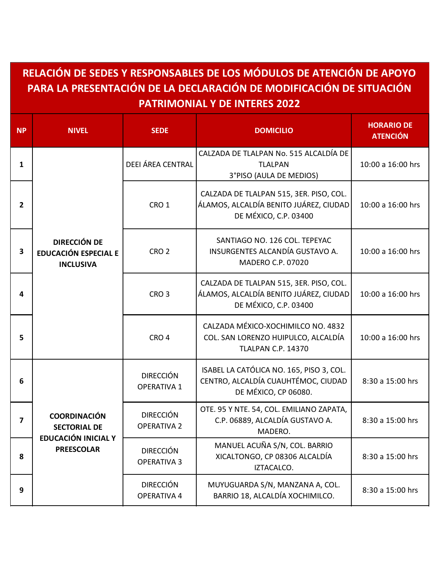## **RELACIÓN DE SEDES Y RESPONSABLES DE LOS MÓDULOS DE ATENCIÓN DE APOYO PARA LA PRESENTACIÓN DE LA DECLARACIÓN DE MODIFICACIÓN DE SITUACIÓN PATRIMONIAL Y DE INTERES 2022**

| <b>NP</b>               | <b>NIVEL</b>                                                                           | <b>SEDE</b>                            | <b>DOMICILIO</b>                                                                                           | <b>HORARIO DE</b><br><b>ATENCIÓN</b> |
|-------------------------|----------------------------------------------------------------------------------------|----------------------------------------|------------------------------------------------------------------------------------------------------------|--------------------------------------|
| $\mathbf{1}$            | <b>DIRECCIÓN DE</b><br><b>EDUCACIÓN ESPECIAL E</b><br><b>INCLUSIVA</b>                 | <b>DEEI ÁREA CENTRAL</b>               | CALZADA DE TLALPAN No. 515 ALCALDÍA DE<br><b>TLALPAN</b><br>3°PISO (AULA DE MEDIOS)                        | 10:00 a 16:00 hrs                    |
| 2                       |                                                                                        | CRO <sub>1</sub>                       | CALZADA DE TLALPAN 515, 3ER. PISO, COL.<br>ÁLAMOS, ALCALDÍA BENITO JUÁREZ, CIUDAD<br>DE MÉXICO, C.P. 03400 | 10:00 a 16:00 hrs                    |
| 3                       |                                                                                        | CRO <sub>2</sub>                       | SANTIAGO NO. 126 COL. TEPEYAC<br>INSURGENTES ALCANDÍA GUSTAVO A.<br>MADERO C.P. 07020                      | 10:00 a 16:00 hrs                    |
| 4                       |                                                                                        | CRO <sub>3</sub>                       | CALZADA DE TLALPAN 515, 3ER. PISO, COL.<br>ÁLAMOS, ALCALDÍA BENITO JUÁREZ, CIUDAD<br>DE MÉXICO, C.P. 03400 | 10:00 a 16:00 hrs                    |
| 5                       |                                                                                        | CRO <sub>4</sub>                       | CALZADA MÉXICO-XOCHIMILCO NO. 4832<br>COL. SAN LORENZO HUIPULCO, ALCALDÍA<br><b>TLALPAN C.P. 14370</b>     | 10:00 a 16:00 hrs                    |
| 6                       | <b>COORDINACIÓN</b><br><b>SECTORIAL DE</b><br>EDUCACIÓN INICIAL Y<br><b>PREESCOLAR</b> | <b>DIRECCIÓN</b><br><b>OPERATIVA 1</b> | ISABEL LA CATÓLICA NO. 165, PISO 3, COL.<br>CENTRO, ALCALDÍA CUAUHTÉMOC, CIUDAD<br>DE MÉXICO, CP 06080.    | 8:30 a 15:00 hrs                     |
| $\overline{\mathbf{z}}$ |                                                                                        | <b>DIRECCIÓN</b><br><b>OPERATIVA 2</b> | OTE. 95 Y NTE. 54, COL. EMILIANO ZAPATA,<br>C.P. 06889, ALCALDÍA GUSTAVO A.<br>MADERO.                     | 8:30 a 15:00 hrs                     |
| 8                       |                                                                                        | <b>DIRECCIÓN</b><br><b>OPERATIVA 3</b> | MANUEL ACUÑA S/N, COL. BARRIO<br>XICALTONGO, CP 08306 ALCALDÍA<br>IZTACALCO.                               | 8:30 a 15:00 hrs                     |
| 9                       |                                                                                        | <b>DIRECCIÓN</b><br>OPERATIVA 4        | MUYUGUARDA S/N, MANZANA A, COL.<br>BARRIO 18, ALCALDÍA XOCHIMILCO.                                         | 8:30 a 15:00 hrs                     |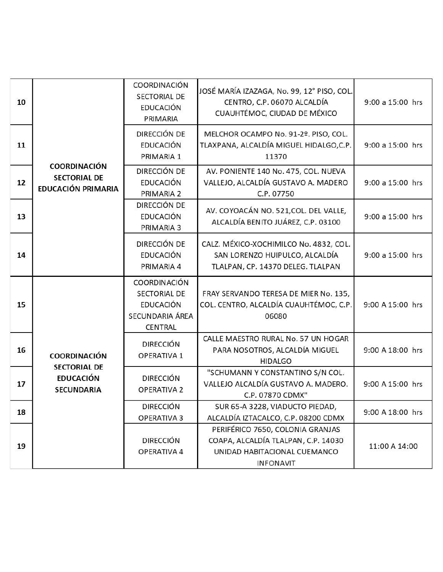| 10 | <b>COORDINACIÓN</b><br><b>SECTORIAL DE</b><br>EDUCACIÓN PRIMARIA                    | COORDINACIÓN<br><b>SECTORIAL DE</b><br><b>EDUCACIÓN</b><br>PRIMARIA                          | JOSÉ MARÍA IZAZAGA, No. 99, 12° PISO, COL.<br>CENTRO, C.P. 06070 ALCALDÍA<br>CUAUHTÉMOC, CIUDAD DE MÉXICO                   | 9:00 a 15:00 hrs |
|----|-------------------------------------------------------------------------------------|----------------------------------------------------------------------------------------------|-----------------------------------------------------------------------------------------------------------------------------|------------------|
| 11 |                                                                                     | DIRECCIÓN DE<br><b>EDUCACIÓN</b><br>PRIMARIA 1                                               | MELCHOR OCAMPO No. 91-2º. PISO, COL.<br>TLAXPANA, ALCALDÍA MIGUEL HIDALGO,C.P.<br>11370                                     | 9:00 a 15:00 hrs |
| 12 |                                                                                     | DIRECCIÓN DE<br><b>EDUCACIÓN</b><br>PRIMARIA 2                                               | AV. PONIENTE 140 No. 475, COL. NUEVA<br>VALLEJO, ALCALDÍA GUSTAVO A. MADERO<br>C.P. 07750                                   | 9:00 a 15:00 hrs |
| 13 |                                                                                     | DIRECCIÓN DE<br><b>EDUCACIÓN</b><br>PRIMARIA 3                                               | AV. COYOACÁN NO. 521, COL. DEL VALLE,<br>ALCALDÍA BENITO JUÁREZ, C.P. 03100                                                 | 9:00 a 15:00 hrs |
| 14 |                                                                                     | DIRECCIÓN DE<br>EDUCACIÓN<br>PRIMARIA 4                                                      | CALZ. MÉXICO-XOCHIMILCO No. 4832, COL.<br>SAN LORENZO HUIPULCO, ALCALDÍA<br>TLALPAN, CP. 14370 DELEG. TLALPAN               | 9:00 a 15:00 hrs |
| 15 | <b>COORDINACIÓN</b><br><b>SECTORIAL DE</b><br><b>EDUCACIÓN</b><br><b>SECUNDARIA</b> | <b>COORDINACIÓN</b><br><b>SECTORIAL DE</b><br><b>EDUCACIÓN</b><br>SECUNDARIA ÁREA<br>CENTRAL | FRAY SERVANDO TERESA DE MIER No. 135,<br>COL. CENTRO, ALCALDÍA CUAUHTÉMOC, C.P.<br>06080                                    | 9:00 A 15:00 hrs |
| 16 |                                                                                     | <b>DIRECCIÓN</b><br>OPERATIVA 1                                                              | CALLE MAESTRO RURAL No. 57 UN HOGAR<br>PARA NOSOTROS, ALCALDÍA MIGUEL<br><b>HIDALGO</b>                                     | 9:00 A 18:00 hrs |
| 17 |                                                                                     | <b>DIRECCIÓN</b><br><b>OPERATIVA 2</b>                                                       | "SCHUMANN Y CONSTANTINO S/N COL.<br>VALLEJO ALCALDÍA GUSTAVO A. MADERO.<br>C.P. 07870 CDMX"                                 | 9:00 A 15:00 hrs |
| 18 |                                                                                     | <b>DIRECCIÓN</b><br>OPERATIVA 3                                                              | SUR 65-A 3228, VIADUCTO PIEDAD,<br>ALCALDÍA IZTACALCO, C.P. 08200 CDMX                                                      | 9:00 A 18:00 hrs |
| 19 |                                                                                     | <b>DIRECCIÓN</b><br>OPERATIVA 4                                                              | PERIFÉRICO 7650, COLONIA GRANJAS<br>COAPA, ALCALDÍA TLALPAN, C.P. 14030<br>UNIDAD HABITACIONAL CUEMANCO<br><b>INFONAVIT</b> | 11:00 A 14:00    |